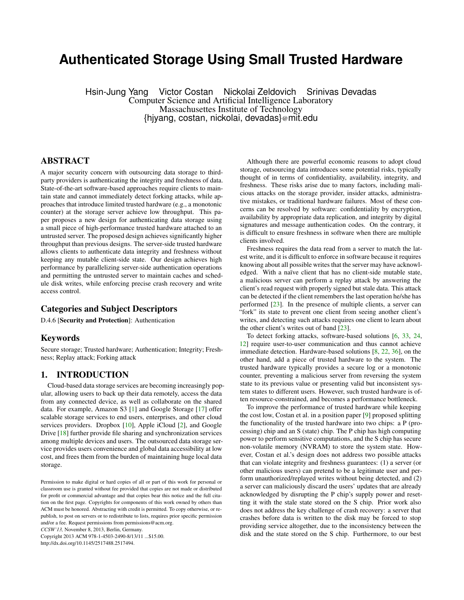# **Authenticated Storage Using Small Trusted Hardware**

Hsin-Jung Yang Victor Costan Nickolai Zeldovich Srinivas Devadas Computer Science and Artificial Intelligence Laboratory Massachusettes Institute of Technology {hjyang, costan, nickolai, devadas}@mit.edu

# ABSTRACT

A major security concern with outsourcing data storage to thirdparty providers is authenticating the integrity and freshness of data. State-of-the-art software-based approaches require clients to maintain state and cannot immediately detect forking attacks, while approaches that introduce limited trusted hardware (e.g., a monotonic counter) at the storage server achieve low throughput. This paper proposes a new design for authenticating data storage using a small piece of high-performance trusted hardware attached to an untrusted server. The proposed design achieves significantly higher throughput than previous designs. The server-side trusted hardware allows clients to authenticate data integrity and freshness without keeping any mutable client-side state. Our design achieves high performance by parallelizing server-side authentication operations and permitting the untrusted server to maintain caches and schedule disk writes, while enforcing precise crash recovery and write access control.

## Categories and Subject Descriptors

D.4.6 [Security and Protection]: Authentication

## Keywords

Secure storage; Trusted hardware; Authentication; Integrity; Freshness; Replay attack; Forking attack

# 1. INTRODUCTION

Cloud-based data storage services are becoming increasingly popular, allowing users to back up their data remotely, access the data from any connected device, as well as collaborate on the shared data. For example, Amazon S3 [\[1\]](#page-10-0) and Google Storage [\[17\]](#page-11-0) offer scalable storage services to end users, enterprises, and other cloud services providers. Dropbox [\[10\]](#page-11-1), Apple iCloud [\[2\]](#page-10-1), and Google Drive [\[18\]](#page-11-2) further provide file sharing and synchronization services among multiple devices and users. The outsourced data storage service provides users convenience and global data accessibility at low cost, and frees them from the burden of maintaining huge local data storage.

*CCSW'13,* November 8, 2013, Berlin, Germany.

Copyright 2013 ACM 978-1-4503-2490-8/13/11 ...\$15.00. http://dx.doi.org/10.1145/2517488.2517494.

Although there are powerful economic reasons to adopt cloud storage, outsourcing data introduces some potential risks, typically thought of in terms of confidentiality, availability, integrity, and freshness. These risks arise due to many factors, including malicious attacks on the storage provider, insider attacks, administrative mistakes, or traditional hardware failures. Most of these concerns can be resolved by software: confidentiality by encryption, availability by appropriate data replication, and integrity by digital signatures and message authentication codes. On the contrary, it is difficult to ensure freshness in software when there are multiple clients involved.

Freshness requires the data read from a server to match the latest write, and it is difficult to enforce in software because it requires knowing about all possible writes that the server may have acknowledged. With a naïve client that has no client-side mutable state, a malicious server can perform a replay attack by answering the client's read request with properly signed but stale data. This attack can be detected if the client remembers the last operation he/she has performed [\[23\]](#page-11-3). In the presence of multiple clients, a server can "fork" its state to prevent one client from seeing another client's writes, and detecting such attacks requires one client to learn about the other client's writes out of band [\[23\]](#page-11-3).

To detect forking attacks, software-based solutions [\[6,](#page-10-2) [33,](#page-11-4) [24,](#page-11-5) [12\]](#page-11-6) require user-to-user communication and thus cannot achieve immediate detection. Hardware-based solutions [\[8,](#page-11-7) [22,](#page-11-8) [36\]](#page-11-9), on the other hand, add a piece of trusted hardware to the system. The trusted hardware typically provides a secure log or a monotonic counter, preventing a malicious server from reversing the system state to its previous value or presenting valid but inconsistent system states to different users. However, such trusted hardware is often resource-constrained, and becomes a performance bottleneck.

To improve the performance of trusted hardware while keeping the cost low, Costan et al. in a position paper [\[9\]](#page-11-10) proposed splitting the functionality of the trusted hardware into two chips: a P (processing) chip and an S (state) chip. The P chip has high computing power to perform sensitive computations, and the S chip has secure non-volatile memory (NVRAM) to store the system state. However, Costan et al.'s design does not address two possible attacks that can violate integrity and freshness guarantees: (1) a server (or other malicious users) can pretend to be a legitimate user and perform unauthorized/replayed writes without being detected, and (2) a server can maliciously discard the users' updates that are already acknowledged by disrupting the P chip's supply power and resetting it with the stale state stored on the S chip. Prior work also does not address the key challenge of crash recovery: a server that crashes before data is written to the disk may be forced to stop providing service altogether, due to the inconsistency between the disk and the state stored on the S chip. Furthermore, to our best

Permission to make digital or hard copies of all or part of this work for personal or classroom use is granted without fee provided that copies are not made or distributed for profit or commercial advantage and that copies bear this notice and the full citation on the first page. Copyrights for components of this work owned by others than ACM must be honored. Abstracting with credit is permitted. To copy otherwise, or republish, to post on servers or to redistribute to lists, requires prior specific permission and/or a fee. Request permissions from permissions@acm.org.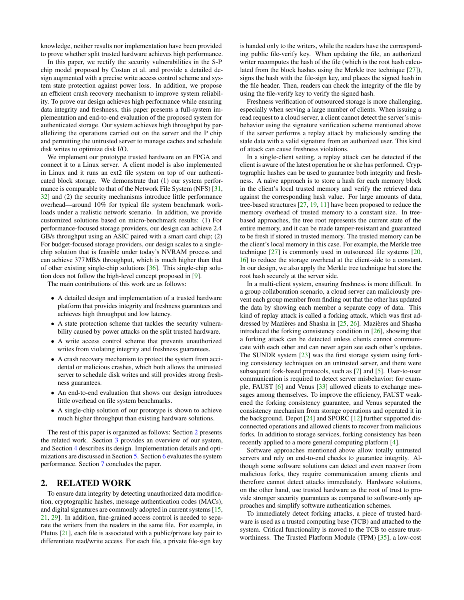knowledge, neither results nor implementation have been provided to prove whether split trusted hardware achieves high performance.

In this paper, we rectify the security vulnerabilities in the S-P chip model proposed by Costan et al. and provide a detailed design augmented with a precise write access control scheme and system state protection against power loss. In addition, we propose an efficient crash recovery mechanism to improve system reliability. To prove our design achieves high performance while ensuring data integrity and freshness, this paper presents a full-system implementation and end-to-end evaluation of the proposed system for authenticated storage. Our system achieves high throughput by parallelizing the operations carried out on the server and the P chip and permitting the untrusted server to manage caches and schedule disk writes to optimize disk I/O.

We implement our prototype trusted hardware on an FPGA and connect it to a Linux server. A client model is also implemented in Linux and it runs an ext2 file system on top of our authenticated block storage. We demonstrate that (1) our system performance is comparable to that of the Network File System (NFS) [\[31,](#page-11-11) [32\]](#page-11-12) and (2) the security mechanisms introduce little performance overhead—around 10% for typical file system benchmark workloads under a realistic network scenario. In addition, we provide customized solutions based on micro-benchmark results: (1) For performance-focused storage providers, our design can achieve 2.4 GB/s throughput using an ASIC paired with a smart card chip; (2) For budget-focused storage providers, our design scales to a singlechip solution that is feasible under today's NVRAM process and can achieve 377MB/s throughput, which is much higher than that of other existing single-chip solutions [\[36\]](#page-11-9). This single-chip solution does not follow the high-level concept proposed in [\[9\]](#page-11-10).

The main contributions of this work are as follows:

- A detailed design and implementation of a trusted hardware platform that provides integrity and freshness guarantees and achieves high throughput and low latency.
- A state protection scheme that tackles the security vulnerability caused by power attacks on the split trusted hardware.
- A write access control scheme that prevents unauthorized writes from violating integrity and freshness guarantees.
- A crash recovery mechanism to protect the system from accidental or malicious crashes, which both allows the untrusted server to schedule disk writes and still provides strong freshness guarantees.
- An end-to-end evaluation that shows our design introduces little overhead on file system benchmarks.
- A single-chip solution of our prototype is shown to achieve much higher throughput than existing hardware solutions.

The rest of this paper is organized as follows: Section [2](#page-1-0) presents the related work. Section [3](#page-2-0) provides an overview of our system, and Section [4](#page-3-0) describes its design. Implementation details and optimizations are discussed in Section [5.](#page-6-0) Section [6](#page-7-0) evaluates the system performance. Section [7](#page-10-3) concludes the paper.

# <span id="page-1-0"></span>2. RELATED WORK

To ensure data integrity by detecting unauthorized data modification, cryptographic hashes, message authentication codes (MACs), and digital signatures are commonly adopted in current systems [\[15,](#page-11-13) [21,](#page-11-14) [29\]](#page-11-15). In addition, fine-grained access control is needed to separate the writers from the readers in the same file. For example, in Plutus [\[21\]](#page-11-14), each file is associated with a public/private key pair to differentiate read/write access. For each file, a private file-sign key

is handed only to the writers, while the readers have the corresponding public file-verify key. When updating the file, an authorized writer recomputes the hash of the file (which is the root hash calculated from the block hashes using the Merkle tree technique [\[27\]](#page-11-16)), signs the hash with the file-sign key, and places the signed hash in the file header. Then, readers can check the integrity of the file by using the file-verify key to verify the signed hash.

Freshness verification of outsourced storage is more challenging, especially when serving a large number of clients. When issuing a read request to a cloud server, a client cannot detect the server's misbehavior using the signature verification scheme mentioned above if the server performs a replay attack by maliciously sending the stale data with a valid signature from an authorized user. This kind of attack can cause freshness violations.

In a single-client setting, a replay attack can be detected if the client is aware of the latest operation he or she has performed. Cryptographic hashes can be used to guarantee both integrity and freshness. A naïve approach is to store a hash for each memory block in the client's local trusted memory and verify the retrieved data against the corresponding hash value. For large amounts of data, tree-based structures [\[27,](#page-11-16) [19,](#page-11-17) [11\]](#page-11-18) have been proposed to reduce the memory overhead of trusted memory to a constant size. In treebased approaches, the tree root represents the current state of the entire memory, and it can be made tamper-resistant and guaranteed to be fresh if stored in trusted memory. The trusted memory can be the client's local memory in this case. For example, the Merkle tree technique [\[27\]](#page-11-16) is commonly used in outsourced file systems [\[20,](#page-11-19) [16\]](#page-11-20) to reduce the storage overhead at the client-side to a constant. In our design, we also apply the Merkle tree technique but store the root hash securely at the server side.

In a multi-client system, ensuring freshness is more difficult. In a group collaboration scenario, a cloud server can maliciously prevent each group member from finding out that the other has updated the data by showing each member a separate copy of data. This kind of replay attack is called a forking attack, which was first addressed by Mazières and Shasha in [\[25,](#page-11-21) [26\]](#page-11-22). Mazières and Shasha introduced the forking consistency condition in  $[26]$ , showing that a forking attack can be detected unless clients cannot communicate with each other and can never again see each other's updates. The SUNDR system [\[23\]](#page-11-3) was the first storage system using forking consistency techniques on an untrusted server, and there were subsequent fork-based protocols, such as [\[7\]](#page-11-23) and [\[5\]](#page-10-4). User-to-user communication is required to detect server misbehavior: for example, FAUST [\[6\]](#page-10-2) and Venus [\[33\]](#page-11-4) allowed clients to exchange messages among themselves. To improve the efficiency, FAUST weakened the forking consistency guarantee, and Venus separated the consistency mechanism from storage operations and operated it in the background. Depot [\[24\]](#page-11-5) and SPORC [\[12\]](#page-11-6) further supported disconnected operations and allowed clients to recover from malicious forks. In addition to storage services, forking consistency has been recently applied to a more general computing platform [\[4\]](#page-10-5).

Software approaches mentioned above allow totally untrusted servers and rely on end-to-end checks to guarantee integrity. Although some software solutions can detect and even recover from malicious forks, they require communication among clients and therefore cannot detect attacks immediately. Hardware solutions, on the other hand, use trusted hardware as the root of trust to provide stronger security guarantees as compared to software-only approaches and simplify software authentication schemes.

To immediately detect forking attacks, a piece of trusted hardware is used as a trusted computing base (TCB) and attached to the system. Critical functionality is moved to the TCB to ensure trustworthiness. The Trusted Platform Module (TPM) [\[35\]](#page-11-24), a low-cost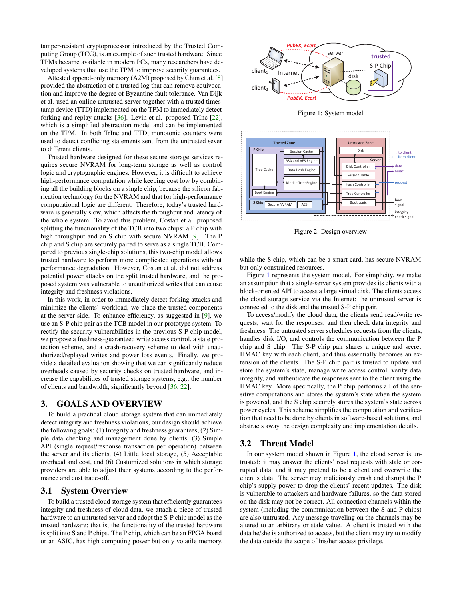tamper-resistant cryptoprocessor introduced by the Trusted Computing Group (TCG), is an example of such trusted hardware. Since TPMs became available in modern PCs, many researchers have developed systems that use the TPM to improve security guarantees.

Attested append-only memory (A2M) proposed by Chun et al. [\[8\]](#page-11-7) provided the abstraction of a trusted log that can remove equivocation and improve the degree of Byzantine fault tolerance. Van Dijk et al. used an online untrusted server together with a trusted timestamp device (TTD) implemented on the TPM to immediately detect forking and replay attacks [\[36\]](#page-11-9). Levin et al. proposed TrInc [\[22\]](#page-11-8), which is a simplified abstraction model and can be implemented on the TPM. In both TrInc and TTD, monotonic counters were used to detect conflicting statements sent from the untrusted sever to different clients.

Trusted hardware designed for these secure storage services requires secure NVRAM for long-term storage as well as control logic and cryptographic engines. However, it is difficult to achieve high-performance computation while keeping cost low by combining all the building blocks on a single chip, because the silicon fabrication technology for the NVRAM and that for high-performance computational logic are different. Therefore, today's trusted hardware is generally slow, which affects the throughput and latency of the whole system. To avoid this problem, Costan et al. proposed splitting the functionality of the TCB into two chips: a P chip with high throughput and an S chip with secure NVRAM [\[9\]](#page-11-10). The P chip and S chip are securely paired to serve as a single TCB. Compared to previous single-chip solutions, this two-chip model allows trusted hardware to perform more complicated operations without performance degradation. However, Costan et al. did not address potential power attacks on the split trusted hardware, and the proposed system was vulnerable to unauthorized writes that can cause integrity and freshness violations.

In this work, in order to immediately detect forking attacks and minimize the clients' workload, we place the trusted components at the server side. To enhance efficiency, as suggested in [\[9\]](#page-11-10), we use an S-P chip pair as the TCB model in our prototype system. To rectify the security vulnerabilities in the previous S-P chip model, we propose a freshness-guaranteed write access control, a state protection scheme, and a crash-recovery scheme to deal with unauthorized/replayed writes and power loss events. Finally, we provide a detailed evaluation showing that we can significantly reduce overheads caused by security checks on trusted hardware, and increase the capabilities of trusted storage systems, e.g., the number of clients and bandwidth, significantly beyond [\[36,](#page-11-9) [22\]](#page-11-8).

### <span id="page-2-0"></span>3. GOALS AND OVERVIEW

To build a practical cloud storage system that can immediately detect integrity and freshness violations, our design should achieve the following goals: (1) Integrity and freshness guarantees, (2) Simple data checking and management done by clients, (3) Simple API (single request/response transaction per operation) between the server and its clients, (4) Little local storage, (5) Acceptable overhead and cost, and (6) Customized solutions in which storage providers are able to adjust their systems according to the performance and cost trade-off.

### 3.1 System Overview

To build a trusted cloud storage system that efficiently guarantees integrity and freshness of cloud data, we attach a piece of trusted hardware to an untrusted server and adopt the S-P chip model as the trusted hardware; that is, the functionality of the trusted hardware is split into S and P chips. The P chip, which can be an FPGA board or an ASIC, has high computing power but only volatile memory,

<span id="page-2-1"></span>

Figure 1: System model

<span id="page-2-2"></span>

Figure 2: Design overview

while the S chip, which can be a smart card, has secure NVRAM but only constrained resources.

Figure [1](#page-2-1) represents the system model. For simplicity, we make an assumption that a single-server system provides its clients with a block-oriented API to access a large virtual disk. The clients access the cloud storage service via the Internet; the untrusted server is connected to the disk and the trusted S-P chip pair.

To access/modify the cloud data, the clients send read/write requests, wait for the responses, and then check data integrity and freshness. The untrusted server schedules requests from the clients, handles disk I/O, and controls the communication between the P chip and S chip. The S-P chip pair shares a unique and secret HMAC key with each client, and thus essentially becomes an extension of the clients. The S-P chip pair is trusted to update and store the system's state, manage write access control, verify data integrity, and authenticate the responses sent to the client using the HMAC key. More specifically, the P chip performs all of the sensitive computations and stores the system's state when the system is powered, and the S chip securely stores the system's state across power cycles. This scheme simplifies the computation and verification that need to be done by clients in software-based solutions, and abstracts away the design complexity and implementation details.

# 3.2 Threat Model

In our system model shown in Figure [1,](#page-2-1) the cloud server is untrusted: it may answer the clients' read requests with stale or corrupted data, and it may pretend to be a client and overwrite the client's data. The server may maliciously crash and disrupt the P chip's supply power to drop the clients' recent updates. The disk is vulnerable to attackers and hardware failures, so the data stored on the disk may not be correct. All connection channels within the system (including the communication between the S and P chips) are also untrusted. Any message traveling on the channels may be altered to an arbitrary or stale value. A client is trusted with the data he/she is authorized to access, but the client may try to modify the data outside the scope of his/her access privilege.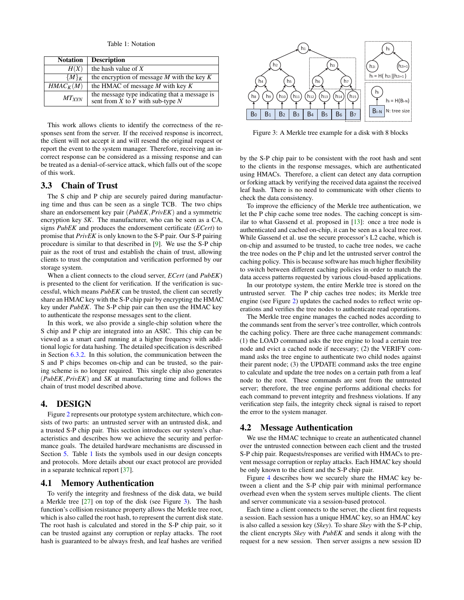Table 1: Notation

<span id="page-3-1"></span>

| <b>Notation</b> | <b>Description</b>                                                                                            |
|-----------------|---------------------------------------------------------------------------------------------------------------|
| H(X)            | the hash value of $X$                                                                                         |
| ${M}_K$         | the encryption of message $M$ with the key $K$                                                                |
| $HMAC_K(M)$     | the HMAC of message $M$ with key $K$                                                                          |
| $MT_{XYN}$      | the message type indicating that a message is<br>sent from $\overline{X}$ to $\overline{Y}$ with sub-type $N$ |

This work allows clients to identify the correctness of the responses sent from the server. If the received response is incorrect, the client will not accept it and will resend the original request or report the event to the system manager. Therefore, receiving an incorrect response can be considered as a missing response and can be treated as a denial-of-service attack, which falls out of the scope of this work.

#### 3.3 Chain of Trust

The S chip and P chip are securely paired during manufacturing time and thus can be seen as a single TCB. The two chips share an endorsement key pair (*PubEK*,*PrivEK*) and a symmetric encryption key *SK*. The manufacturer, who can be seen as a CA, signs *PubEK* and produces the endorsement certificate (*ECert*) to promise that *PrivEK* is only known to the S-P pair. Our S-P pairing procedure is similar to that described in [\[9\]](#page-11-10). We use the S-P chip pair as the root of trust and establish the chain of trust, allowing clients to trust the computation and verification performed by our storage system.

When a client connects to the cloud server, *ECert* (and *PubEK*) is presented to the client for verification. If the verification is successful, which means *PubEK* can be trusted, the client can secretly share an HMAC key with the S-P chip pair by encrypting the HMAC key under *PubEK*. The S-P chip pair can then use the HMAC key to authenticate the response messages sent to the client.

In this work, we also provide a single-chip solution where the S chip and P chip are integrated into an ASIC. This chip can be viewed as a smart card running at a higher frequency with additional logic for data hashing. The detailed specification is described in Section [6.3.2.](#page-10-6) In this solution, the communication between the S and P chips becomes on-chip and can be trusted, so the pairing scheme is no longer required. This single chip also generates (*PubEK*,*PrivEK*) and *SK* at manufacturing time and follows the chain of trust model described above.

## <span id="page-3-0"></span>4. DESIGN

Figure [2](#page-2-2) represents our prototype system architecture, which consists of two parts: an untrusted server with an untrusted disk, and a trusted S-P chip pair. This section introduces our system's characteristics and describes how we achieve the security and performance goals. The detailed hardware mechanisms are discussed in Section [5.](#page-6-0) Table [1](#page-3-1) lists the symbols used in our design concepts and protocols. More details about our exact protocol are provided in a separate technical report [\[37\]](#page-11-25).

# 4.1 Memory Authentication

To verify the integrity and freshness of the disk data, we build a Merkle tree  $[27]$  on top of the disk (see Figure [3\)](#page-3-2). The hash function's collision resistance property allows the Merkle tree root, which is also called the root hash, to represent the current disk state. The root hash is calculated and stored in the S-P chip pair, so it can be trusted against any corruption or replay attacks. The root hash is guaranteed to be always fresh, and leaf hashes are verified

<span id="page-3-2"></span>

Figure 3: A Merkle tree example for a disk with 8 blocks

by the S-P chip pair to be consistent with the root hash and sent to the clients in the response messages, which are authenticated using HMACs. Therefore, a client can detect any data corruption or forking attack by verifying the received data against the received leaf hash. There is no need to communicate with other clients to check the data consistency.

To improve the efficiency of the Merkle tree authentication, we let the P chip cache some tree nodes. The caching concept is similar to what Gassend et al. proposed in [\[13\]](#page-11-26): once a tree node is authenticated and cached on-chip, it can be seen as a local tree root. While Gassend et al. use the secure processor's L2 cache, which is on-chip and assumed to be trusted, to cache tree nodes, we cache the tree nodes on the P chip and let the untrusted server control the caching policy. This is because software has much higher flexibility to switch between different caching policies in order to match the data access patterns requested by various cloud-based applications.

In our prototype system, the entire Merkle tree is stored on the untrusted server. The P chip caches tree nodes; its Merkle tree engine (see Figure [2\)](#page-2-2) updates the cached nodes to reflect write operations and verifies the tree nodes to authenticate read operations.

The Merkle tree engine manages the cached nodes according to the commands sent from the server's tree controller, which controls the caching policy. There are three cache management commands: (1) the LOAD command asks the tree engine to load a certain tree node and evict a cached node if necessary; (2) the VERIFY command asks the tree engine to authenticate two child nodes against their parent node; (3) the UPDATE command asks the tree engine to calculate and update the tree nodes on a certain path from a leaf node to the root. These commands are sent from the untrusted server; therefore, the tree engine performs additional checks for each command to prevent integrity and freshness violations. If any verification step fails, the integrity check signal is raised to report the error to the system manager.

#### <span id="page-3-3"></span>4.2 Message Authentication

We use the HMAC technique to create an authenticated channel over the untrusted connection between each client and the trusted S-P chip pair. Requests/responses are verified with HMACs to prevent message corruption or replay attacks. Each HMAC key should be only known to the client and the S-P chip pair.

Figure [4](#page-4-0) describes how we securely share the HMAC key between a client and the S-P chip pair with minimal performance overhead even when the system serves multiple clients. The client and server communicate via a session-based protocol.

Each time a client connects to the server, the client first requests a session. Each session has a unique HMAC key, so an HMAC key is also called a session key (*Skey*). To share *Skey* with the S-P chip, the client encrypts *Skey* with *PubEK* and sends it along with the request for a new session. Then server assigns a new session ID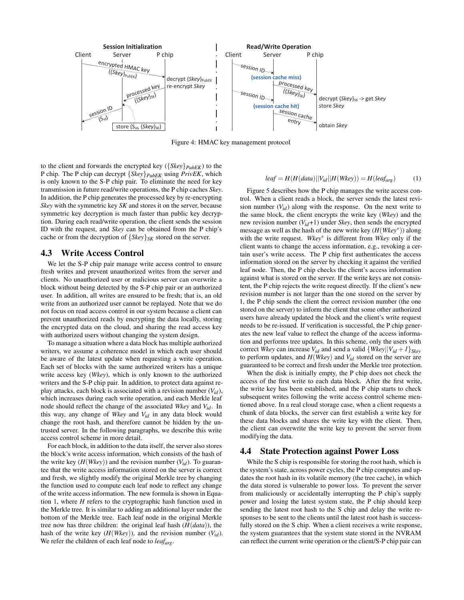<span id="page-4-0"></span>

Figure 4: HMAC key management protocol

to the client and forwards the encrypted key  $({Skey}_{PubEK})$  to the P chip. The P chip can decrypt {*Skey*}*PubEK* using *PrivEK*, which is only known to the S-P chip pair. To eliminate the need for key transmission in future read/write operations, the P chip caches *Skey*. In addition, the P chip generates the processed key by re-encrypting *Skey* with the symmetric key *SK* and stores it on the server, because symmetric key decryption is much faster than public key decryption. During each read/write operation, the client sends the session ID with the request, and *Skey* can be obtained from the P chip's cache or from the decryption of {*Skey*}*SK* stored on the server.

### <span id="page-4-3"></span>4.3 Write Access Control

We let the S-P chip pair manage write access control to ensure fresh writes and prevent unauthorized writes from the server and clients. No unauthorized user or malicious server can overwrite a block without being detected by the S-P chip pair or an authorized user. In addition, all writes are ensured to be fresh; that is, an old write from an authorized user cannot be replayed. Note that we do not focus on read access control in our system because a client can prevent unauthorized reads by encrypting the data locally, storing the encrypted data on the cloud, and sharing the read access key with authorized users without changing the system design.

To manage a situation where a data block has multiple authorized writers, we assume a coherence model in which each user should be aware of the latest update when requesting a write operation. Each set of blocks with the same authorized writers has a unique write access key (*Wkey*), which is only known to the authorized writers and the S-P chip pair. In addition, to protect data against replay attacks, each block is associated with a revision number (*Vid*), which increases during each write operation, and each Merkle leaf node should reflect the change of the associated *Wkey* and *Vid*. In this way, any change of *Wkey* and *Vid* in any data block would change the root hash, and therefore cannot be hidden by the untrusted server. In the following paragraphs, we describe this write access control scheme in more detail.

For each block, in addition to the data itself, the server also stores the block's write access information, which consists of the hash of the write key  $(H(Wkey))$  and the revision number  $(V_{id})$ . To guarantee that the write access information stored on the server is correct and fresh, we slightly modify the original Merkle tree by changing the function used to compute each leaf node to reflect any change of the write access information. The new formula is shown in Equation [1,](#page-4-1) where *H* refers to the cryptographic hash function used in the Merkle tree. It is similar to adding an additional layer under the bottom of the Merkle tree. Each leaf node in the original Merkle tree now has three children: the original leaf hash (*H*(*data*)), the hash of the write key  $(H(Wkey))$ , and the revision number  $(V_{id})$ . We refer the children of each leaf node to *leafarg*.

<span id="page-4-1"></span>
$$
leaf = H(H(data)||V_{id}||H(Wkey)) = H(leaf_{arg})
$$
 (1)

Figure [5](#page-5-0) describes how the P chip manages the write access control. When a client reads a block, the server sends the latest revision number  $(V_{id})$  along with the response. On the next write to the same block, the client encrypts the write key (*Wkey*) and the new revision number  $(V_{id}+1)$  under *Skey*, then sends the encrypted message as well as the hash of the new write key (*H*(*Wkey*<sup>∗</sup> )) along with the write request. *Wkey*<sup>∗</sup> is different from *Wkey* only if the client wants to change the access information, e.g., revoking a certain user's write access. The P chip first authenticates the access information stored on the server by checking it against the verified leaf node. Then, the P chip checks the client's access information against what is stored on the server. If the write keys are not consistent, the P chip rejects the write request directly. If the client's new revision number is not larger than the one stored on the server by 1, the P chip sends the client the correct revision number (the one stored on the server) to inform the client that some other authorized users have already updated the block and the client's write request needs to be re-issued. If verification is successful, the P chip generates the new leaf value to reflect the change of the access information and performs tree updates. In this scheme, only the users with correct *Wkey* can increase  $V_{id}$  and send a valid  $\{Wkey| |V_{id}+I\}_{Skev}$ to perform updates, and  $H(Wkey)$  and  $V_{id}$  stored on the server are guaranteed to be correct and fresh under the Merkle tree protection.

When the disk is initially empty, the P chip does not check the access of the first write to each data block. After the first write, the write key has been established, and the P chip starts to check subsequent writes following the write access control scheme mentioned above. In a real cloud storage case, when a client requests a chunk of data blocks, the server can first establish a write key for these data blocks and shares the write key with the client. Then, the client can overwrite the write key to prevent the server from modifying the data.

### <span id="page-4-2"></span>4.4 State Protection against Power Loss

While the S chip is responsible for storing the root hash, which is the system's state, across power cycles, the P chip computes and updates the root hash in its volatile memory (the tree cache), in which the data stored is vulnerable to power loss. To prevent the server from maliciously or accidentally interrupting the P chip's supply power and losing the latest system state, the P chip should keep sending the latest root hash to the S chip and delay the write responses to be sent to the clients until the latest root hash is successfully stored on the S chip. When a client receives a write response, the system guarantees that the system state stored in the NVRAM can reflect the current write operation or the client/S-P chip pair can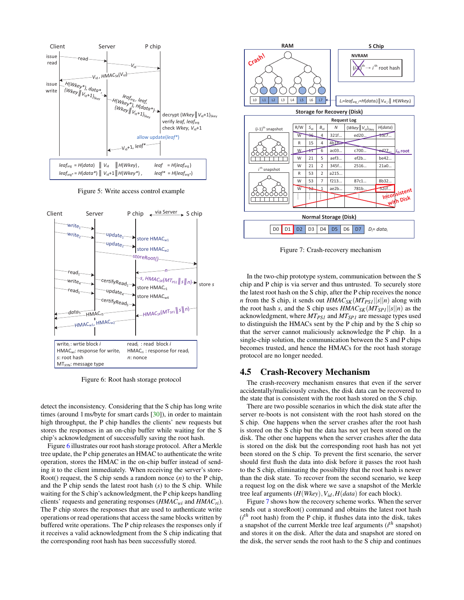<span id="page-5-0"></span>

Figure 5: Write access control example

<span id="page-5-1"></span>

Figure 6: Root hash storage protocol

detect the inconsistency. Considering that the S chip has long write times (around 1ms/byte for smart cards [\[30\]](#page-11-27)), in order to maintain high throughput, the P chip handles the clients' new requests but stores the responses in an on-chip buffer while waiting for the S chip's acknowledgment of successfully saving the root hash.

Figure [6](#page-5-1) illustrates our root hash storage protocol. After a Merkle tree update, the P chip generates an HMAC to authenticate the write operation, stores the HMAC in the on-chip buffer instead of sending it to the client immediately. When receiving the server's store-Root() request, the S chip sends a random nonce (*n*) to the P chip, and the P chip sends the latest root hash (*s*) to the S chip. While waiting for the S chip's acknowledgment, the P chip keeps handling clients' requests and generating responses (*HMACwi* and *HMACri*). The P chip stores the responses that are used to authenticate write operations or read operations that access the same blocks written by buffered write operations. The P chip releases the responses only if it receives a valid acknowledgment from the S chip indicating that the corresponding root hash has been successfully stored.

<span id="page-5-2"></span>

Figure 7: Crash-recovery mechanism

In the two-chip prototype system, communication between the S chip and P chip is via server and thus untrusted. To securely store the latest root hash on the S chip, after the P chip receives the nonce *n* from the S chip, it sends out  $HMAC_{SK}(MT_{PSI}||s||n)$  along with the root hash *s*, and the S chip uses  $HMAC_{SK}(MT_{SPI}||s||n)$  as the acknowledgment, where *MTPS1* and *MTSP1* are message types used to distinguish the HMACs sent by the P chip and by the S chip so that the server cannot maliciously acknowledge the P chip. In a single-chip solution, the communication between the S and P chips becomes trusted, and hence the HMACs for the root hash storage protocol are no longer needed.

#### <span id="page-5-3"></span>4.5 Crash-Recovery Mechanism

The crash-recovery mechanism ensures that even if the server accidentally/maliciously crashes, the disk data can be recovered to the state that is consistent with the root hash stored on the S chip.

There are two possible scenarios in which the disk state after the server re-boots is not consistent with the root hash stored on the S chip. One happens when the server crashes after the root hash is stored on the S chip but the data has not yet been stored on the disk. The other one happens when the server crashes after the data is stored on the disk but the corresponding root hash has not yet been stored on the S chip. To prevent the first scenario, the server should first flush the data into disk before it passes the root hash to the S chip, eliminating the possibility that the root hash is newer than the disk state. To recover from the second scenario, we keep a request log on the disk where we save a snapshot of the Merkle tree leaf arguments  $(H(Wkey), V_{id}, H(data)$  for each block).

Figure [7](#page-5-2) shows how the recovery scheme works. When the server sends out a storeRoot() command and obtains the latest root hash  $(i<sup>th</sup>$  root hash) from the P chip, it flushes data into the disk, takes a snapshot of the current Merkle tree leaf arguments (*i th* snapshot) and stores it on the disk. After the data and snapshot are stored on the disk, the server sends the root hash to the S chip and continues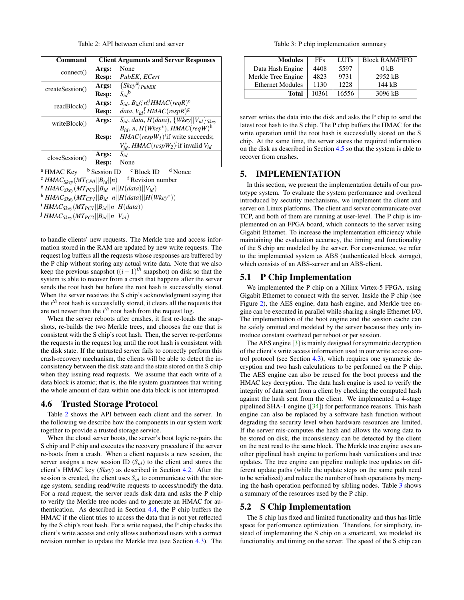Table 2: API between client and server

<span id="page-6-1"></span>

| Command         |       | <b>Client Arguments and Server Responses</b>                            |
|-----------------|-------|-------------------------------------------------------------------------|
| connect()       | Args: | None                                                                    |
|                 | Resp: | PubEK, ECert                                                            |
| createSession() | Args: | $\{Skey^a\}_{PubEK}$                                                    |
|                 | Resp: | $S_{id}^{\ b}$                                                          |
| readBlock()     | Args: | $S_{id}$ , $B_{id}$ <sup>c</sup> , $n^d$ , HMAC(reqR) <sup>e</sup>      |
|                 | Resp: | data, $V_{id}$ <sup>f</sup> , HMAC(respR) <sup>g</sup>                  |
| writeBlock()    | Args: | $S_{id}$ , data, $H(data)$ , {Wkey   $V_{id}$ } Skev                    |
|                 |       | $B_{id}$ , n, H(Wkey*), HMAC(reqW) <sup>h</sup>                         |
|                 | Resp: | $HMAC(respWI)$ <sup>1</sup> if write succeeds;                          |
|                 |       | $V_{id}^*$ , HMAC(respW <sub>2</sub> ) <sup>j</sup> if invalid $V_{id}$ |
| closeSession()  | Args: | $S_{id}$                                                                |
|                 | Resp: | None                                                                    |

<sup>a</sup> HMAC Key  $\frac{b}{c}$  Session ID  $\frac{c}{c}$  Block ID  $\frac{d}{c}$  Nonce  $\binom{e}{H}$ *HMAC*<sub>*Skev</sub>*(*MT<sub>CP0</sub>*)| $B_{id}$ ||*n*)</sub> <sup>f</sup> Revision number  $\mathcal{E}$  *HMAC*<sub>Skey</sub>( $MT_{PCO}$ || $B_{id}$ || $n$ || $H(data)$ || $V_{id}$ )  $h$  *HMAC*<sub>Skey</sub>( $MT_{CPI}$ || $B_{id}$ || $n$ || $H(data)$ || $H(Wkey^*)$ )  $i$ *HMAC*<sub>Skey</sub>( $MT_{PCI}$ || $B_{id}$ || $n$ || $H(data)$ ) <sup>j</sup> *HMACSkey*(*MTPC2*||*Bid*||*n*||*Vid*)

to handle clients' new requests. The Merkle tree and access information stored in the RAM are updated by new write requests. The request log buffers all the requests whose responses are buffered by the P chip without storing any actual write data. Note that we also keep the previous snapshot  $((i-1)<sup>th</sup>$  snapshot) on disk so that the system is able to recover from a crash that happens after the server sends the root hash but before the root hash is successfully stored. When the server receives the S chip's acknowledgment saying that the *i th* root hash is successfully stored, it clears all the requests that are not newer than the  $i<sup>th</sup>$  root hash from the request log.

When the server reboots after crashes, it first re-loads the snapshots, re-builds the two Merkle trees, and chooses the one that is consistent with the S chip's root hash. Then, the server re-performs the requests in the request log until the root hash is consistent with the disk state. If the untrusted server fails to correctly perform this crash-recovery mechanism, the clients will be able to detect the inconsistency between the disk state and the state stored on the S chip when they issuing read requests. We assume that each write of a data block is atomic; that is, the file system guarantees that writing the whole amount of data within one data block is not interrupted.

# <span id="page-6-3"></span>4.6 Trusted Storage Protocol

Table [2](#page-6-1) shows the API between each client and the server. In the following we describe how the components in our system work together to provide a trusted storage service.

When the cloud server boots, the server's boot logic re-pairs the S chip and P chip and executes the recovery procedure if the server re-boots from a crash. When a client requests a new session, the server assigns a new session ID (*Sid*) to the client and stores the client's HMAC key (*Skey*) as described in Section [4.2.](#page-3-3) After the session is created, the client uses  $S_{id}$  to communicate with the storage system, sending read/write requests to access/modify the data. For a read request, the server reads disk data and asks the P chip to verify the Merkle tree nodes and to generate an HMAC for authentication. As described in Section [4.4,](#page-4-2) the P chip buffers the HMAC if the client tries to access the data that is not yet reflected by the S chip's root hash. For a write request, the P chip checks the client's write access and only allows authorized users with a correct revision number to update the Merkle tree (see Section [4.3\)](#page-4-3). The

Table 3: P chip implementation summary

<span id="page-6-2"></span>

| <b>Modules</b>          | <b>FFs</b> | <b>LUTs</b> | <b>Block RAM/FIFO</b> |
|-------------------------|------------|-------------|-----------------------|
| Data Hash Engine        | 4408       | 5597        | 0 <sub>k</sub> B      |
| Merkle Tree Engine      | 4823       | 9731        | 2952 kB               |
| <b>Ethernet Modules</b> | 1130       | 1228        | 144 kB                |
| Total                   | 10361      | 16556       | 3096 kB               |

server writes the data into the disk and asks the P chip to send the latest root hash to the S chip. The P chip buffers the HMAC for the write operation until the root hash is successfully stored on the S chip. At the same time, the server stores the required information on the disk as described in Section [4.5](#page-5-3) so that the system is able to recover from crashes.

# <span id="page-6-0"></span>5. IMPLEMENTATION

In this section, we present the implementation details of our prototype system. To evaluate the system performance and overhead introduced by security mechanisms, we implement the client and server on Linux platforms. The client and server communicate over TCP, and both of them are running at user-level. The P chip is implemented on an FPGA board, which connects to the server using Gigabit Ethernet. To increase the implementation efficiency while maintaining the evaluation accuracy, the timing and functionality of the S chip are modeled by the server. For convenience, we refer to the implemented system as ABS (authenticated block storage), which consists of an ABS-server and an ABS-client.

### 5.1 P Chip Implementation

We implemented the P chip on a Xilinx Virtex-5 FPGA, using Gigabit Ethernet to connect with the server. Inside the P chip (see Figure [2\)](#page-2-2), the AES engine, data hash engine, and Merkle tree engine can be executed in parallel while sharing a single Ethernet I/O. The implementation of the boot engine and the session cache can be safely omitted and modeled by the server because they only introduce constant overhead per reboot or per session.

The AES engine [\[3\]](#page-10-7) is mainly designed for symmetric decryption of the client's write access information used in our write access control protocol (see Section [4.3\)](#page-4-3), which requires one symmetric decryption and two hash calculations to be performed on the P chip. The AES engine can also be reused for the boot process and the HMAC key decryption. The data hash engine is used to verify the integrity of data sent from a client by checking the computed hash against the hash sent from the client. We implemented a 4-stage pipelined SHA-1 engine ([\[34\]](#page-11-28)) for performance reasons. This hash engine can also be replaced by a software hash function without degrading the security level when hardware resources are limited. If the server mis-computes the hash and allows the wrong data to be stored on disk, the inconsistency can be detected by the client on the next read to the same block. The Merkle tree engine uses another pipelined hash engine to perform hash verifications and tree updates. The tree engine can pipeline multiple tree updates on different update paths (while the update steps on the same path need to be serialized) and reduce the number of hash operations by merging the hash operation performed by sibling nodes. Table [3](#page-6-2) shows a summary of the resources used by the P chip.

### 5.2 S Chip Implementation

The S chip has fixed and limited functionality and thus has little space for performance optimization. Therefore, for simplicity, instead of implementing the S chip on a smartcard, we modeled its functionality and timing on the server. The speed of the S chip can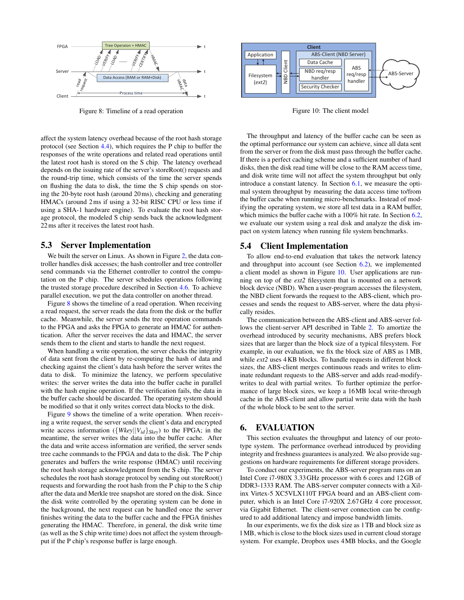<span id="page-7-1"></span>

Figure 8: Timeline of a read operation

affect the system latency overhead because of the root hash storage protocol (see Section [4.4\)](#page-4-2), which requires the P chip to buffer the responses of the write operations and related read operations until the latest root hash is stored on the S chip. The latency overhead depends on the issuing rate of the server's storeRoot() requests and the round-trip time, which consists of the time the server spends on flushing the data to disk, the time the S chip spends on storing the 20-byte root hash (around 20ms), checking and generating HMACs (around 2ms if using a 32-bit RISC CPU or less time if using a SHA-1 hardware engine). To evaluate the root hash storage protocol, the modeled S chip sends back the acknowledgment 22ms after it receives the latest root hash.

## <span id="page-7-3"></span>5.3 Server Implementation

We built the server on Linux. As shown in Figure [2,](#page-2-2) the data controller handles disk accesses; the hash controller and tree controller send commands via the Ethernet controller to control the computation on the P chip. The server schedules operations following the trusted storage procedure described in Section [4.6.](#page-6-3) To achieve parallel execution, we put the data controller on another thread.

Figure [8](#page-7-1) shows the timeline of a read operation. When receiving a read request, the server reads the data from the disk or the buffer cache. Meanwhile, the server sends the tree operation commands to the FPGA and asks the FPGA to generate an HMAC for authentication. After the server receives the data and HMAC, the server sends them to the client and starts to handle the next request.

When handling a write operation, the server checks the integrity of data sent from the client by re-computing the hash of data and checking against the client's data hash before the server writes the data to disk. To minimize the latency, we perform speculative writes: the server writes the data into the buffer cache in parallel with the hash engine operation. If the verification fails, the data in the buffer cache should be discarded. The operating system should be modified so that it only writes correct data blocks to the disk.

Figure [9](#page-8-0) shows the timeline of a write operation. When receiving a write request, the server sends the client's data and encrypted write access information ( $\{Wkey|V_{id}\}_{Skey}$ ) to the FPGA; in the meantime, the server writes the data into the buffer cache. After the data and write access information are verified, the server sends tree cache commands to the FPGA and data to the disk. The P chip generates and buffers the write response (HMAC) until receiving the root hash storage acknowledgment from the S chip. The server schedules the root hash storage protocol by sending out storeRoot() requests and forwarding the root hash from the P chip to the S chip after the data and Merkle tree snapshot are stored on the disk. Since the disk write controlled by the operating system can be done in the background, the next request can be handled once the server finishes writing the data to the buffer cache and the FPGA finishes generating the HMAC. Therefore, in general, the disk write time (as well as the S chip write time) does not affect the system throughput if the P chip's response buffer is large enough.

<span id="page-7-2"></span>

Figure 10: The client model

The throughput and latency of the buffer cache can be seen as the optimal performance our system can achieve, since all data sent from the server or from the disk must pass through the buffer cache. If there is a perfect caching scheme and a sufficient number of hard disks, then the disk read time will be close to the RAM access time, and disk write time will not affect the system throughput but only introduce a constant latency. In Section [6.1,](#page-8-1) we measure the optimal system throughput by measuring the data access time to/from the buffer cache when running micro-benchmarks. Instead of modifying the operating system, we store all test data in a RAM buffer, which mimics the buffer cache with a 100% hit rate. In Section [6.2,](#page-9-0) we evaluate our system using a real disk and analyze the disk impact on system latency when running file system benchmarks.

#### 5.4 Client Implementation

To allow end-to-end evaluation that takes the network latency and throughput into account (see Section [6.2\)](#page-9-0), we implemented a client model as shown in Figure [10.](#page-7-2) User applications are running on top of the *ext2* filesystem that is mounted on a network block device (NBD). When a user-program accesses the filesystem, the NBD client forwards the request to the ABS-client, which processes and sends the request to ABS-server, where the data physically resides.

The communication between the ABS-client and ABS-server follows the client-server API described in Table [2.](#page-6-1) To amortize the overhead introduced by security mechanisms, ABS prefers block sizes that are larger than the block size of a typical filesystem. For example, in our evaluation, we fix the block size of ABS as 1MB, while *ext2* uses 4KB blocks. To handle requests in different block sizes, the ABS-client merges continuous reads and writes to eliminate redundant requests to the ABS-server and adds read-modifywrites to deal with partial writes. To further optimize the performance of large block sizes, we keep a 16MB local write-through cache in the ABS-client and allow partial write data with the hash of the whole block to be sent to the server.

### <span id="page-7-0"></span>6. EVALUATION

This section evaluates the throughput and latency of our prototype system. The performance overhead introduced by providing integrity and freshness guarantees is analyzed. We also provide suggestions on hardware requirements for different storage providers.

To conduct our experiments, the ABS-server program runs on an Intel Core i7-980X 3.33GHz processor with 6 cores and 12GB of DDR3-1333 RAM. The ABS-server computer connects with a Xilinx Virtex-5 XC5VLX110T FPGA board and an ABS-client computer, which is an Intel Core i7-920X 2.67GHz 4 core processor, via Gigabit Ethernet. The client-server connection can be configured to add additional latency and impose bandwidth limits.

In our experiments, we fix the disk size as 1TB and block size as 1MB, which is close to the block sizes used in current cloud storage system. For example, Dropbox uses 4MB blocks, and the Google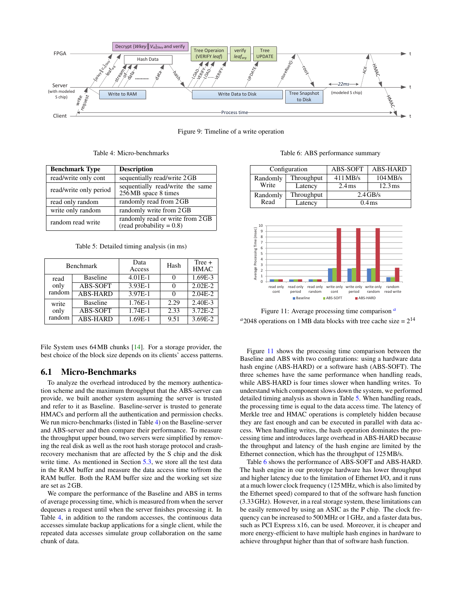<span id="page-8-0"></span>

Figure 9: Timeline of a write operation

Table 4: Micro-benchmarks

<span id="page-8-2"></span>

| <b>Benchmark Type</b>  | <b>Description</b>                                                   |
|------------------------|----------------------------------------------------------------------|
| read/write only cont   | sequentially read/write 2GB                                          |
| read/write only period | sequentially read/write the same<br>256MB space 8 times              |
| read only random       | randomly read from 2GB                                               |
| write only random      | randomly write from 2GB                                              |
| random read write      | randomly read or write from 2GB<br>$(\text{read probability} = 0.8)$ |

Table 5: Detailed timing analysis (in ms)

<span id="page-8-5"></span>

| <b>Benchmark</b> |                 | Data<br>Access | Hash | $Tree +$<br><b>HMAC</b> |
|------------------|-----------------|----------------|------|-------------------------|
| read             | <b>Baseline</b> | $4.01E-1$      |      | 1.69E-3                 |
| only             | ABS-SOFT        | $3.93E-1$      |      | $2.02E - 2$             |
| random           | <b>ABS-HARD</b> | 3.97E-1        |      | $2.04E - 2.$            |
| write            | <b>Baseline</b> | $1.76E-1$      | 2.29 | 2.40E-3                 |
| only             | ABS-SOFT        | $1.74E-1$      | 2.33 | $3.72E - 2$             |
| random           | <b>ABS-HARD</b> | $1.69E-1$      | 9.51 | $3.69E - 2$             |

File System uses 64MB chunks [\[14\]](#page-11-29). For a storage provider, the best choice of the block size depends on its clients' access patterns.

### <span id="page-8-1"></span>6.1 Micro-Benchmarks

To analyze the overhead introduced by the memory authentication scheme and the maximum throughput that the ABS-server can provide, we built another system assuming the server is trusted and refer to it as Baseline. Baseline-server is trusted to generate HMACs and perform all the authentication and permission checks. We run micro-benchmarks (listed in Table [4\)](#page-8-2) on the Baseline-server and ABS-server and then compare their performance. To measure the throughput upper bound, two servers were simplified by removing the real disk as well as the root hash storage protocol and crashrecovery mechanism that are affected by the S chip and the disk write time. As mentioned in Section [5.3,](#page-7-3) we store all the test data in the RAM buffer and measure the data access time to/from the RAM buffer. Both the RAM buffer size and the working set size are set as 2GB.

We compare the performance of the Baseline and ABS in terms of average processing time, which is measured from when the server dequeues a request until when the server finishes processing it. In Table [4,](#page-8-2) in addition to the random accesses, the continuous data accesses simulate backup applications for a single client, while the repeated data accesses simulate group collaboration on the same chunk of data.

Table 6: ABS performance summary

<span id="page-8-6"></span>

| Configuration |            | ABS-SOFT            | <b>ABS-HARD</b>      |
|---------------|------------|---------------------|----------------------|
| Randomly      | Throughput | 411MB/s             | 104 MB/s             |
| Write         | Latency    | $2.4 \,\mathrm{ms}$ | $12.3 \,\mathrm{ms}$ |
| Randomly      | Throughput |                     | $2.4$ GB/s           |
| Read          | Latency    | $0.4 \,\mathrm{ms}$ |                      |

<span id="page-8-4"></span>

<span id="page-8-3"></span>Figure 11: Average processing time comparison *[a](#page-8-3)* <sup>*a*</sup> 2048 operations on 1 MB data blocks with tree cache size =  $2^{14}$ 

Figure [11](#page-8-4) shows the processing time comparison between the Baseline and ABS with two configurations: using a hardware data hash engine (ABS-HARD) or a software hash (ABS-SOFT). The three schemes have the same performance when handling reads, while ABS-HARD is four times slower when handling writes. To understand which component slows down the system, we performed detailed timing analysis as shown in Table [5.](#page-8-5) When handling reads, the processing time is equal to the data access time. The latency of Merkle tree and HMAC operations is completely hidden because they are fast enough and can be executed in parallel with data access. When handling writes, the hash operation dominates the processing time and introduces large overhead in ABS-HARD because the throughput and latency of the hash engine are limited by the Ethernet connection, which has the throughput of 125MB/s.

Table [6](#page-8-6) shows the performance of ABS-SOFT and ABS-HARD. The hash engine in our prototype hardware has lower throughput and higher latency due to the limitation of Ethernet I/O, and it runs at a much lower clock frequency (125MHz, which is also limited by the Ethernet speed) compared to that of the software hash function (3.33GHz). However, in a real storage system, these limitations can be easily removed by using an ASIC as the P chip. The clock frequency can be increased to 500MHz or 1GHz, and a faster data bus, such as PCI Express x16, can be used. Moreover, it is cheaper and more energy-efficient to have multiple hash engines in hardware to achieve throughput higher than that of software hash function.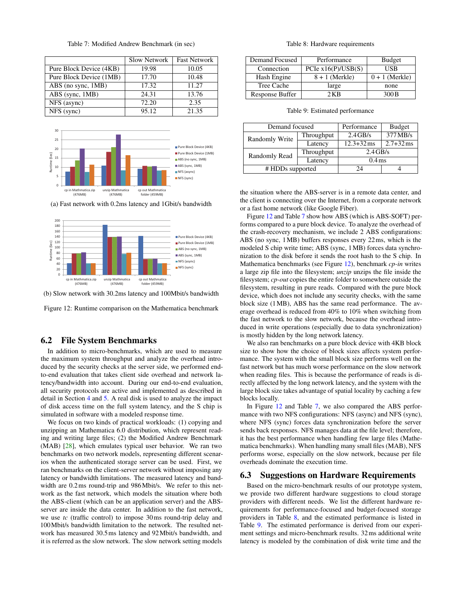<span id="page-9-2"></span>

|                                 | <b>Slow Network</b> | <b>Fast Network</b> |
|---------------------------------|---------------------|---------------------|
| Pure Block Device (4KB)         | 19.98               | 10.05               |
| Pure Block Device (1MB)         | 17.70               | 10.48               |
| ABS (no sync, 1MB)              | 17.32               | 11.27               |
| ABS (sync, 1MB)                 | 24.31               | 13.76               |
| $\overline{\text{NFS}}$ (async) | 72.20               | 2.35                |
| NFS (sync)                      | 95.12               | 21.35               |

Table 7: Modified Andrew Benchmark (in sec)

<span id="page-9-1"></span>

(a) Fast network with 0.2ms latency and 1Gbit/s bandwidth



(b) Slow network with 30.2ms latency and 100Mbit/s bandwidth

Figure 12: Runtime comparison on the Mathematica benchmark

# <span id="page-9-0"></span>6.2 File System Benchmarks

In addition to micro-benchmarks, which are used to measure the maximum system throughput and analyze the overhead introduced by the security checks at the server side, we performed endto-end evaluation that takes client side overhead and network latency/bandwidth into account. During our end-to-end evaluation, all security protocols are active and implemented as described in detail in Section [4](#page-3-0) and [5.](#page-6-0) A real disk is used to analyze the impact of disk access time on the full system latency, and the S chip is simulated in software with a modeled response time.

We focus on two kinds of practical workloads: (1) copying and unzipping an Mathematica 6.0 distribution, which represent reading and writing large files; (2) the Modified Andrew Benchmark (MAB) [\[28\]](#page-11-30), which emulates typical user behavior. We ran two benchmarks on two network models, representing different scenarios when the authenticated storage server can be used. First, we ran benchmarks on the client-server network without imposing any latency or bandwidth limitations. The measured latency and bandwidth are 0.2ms round-trip and 986Mbit/s. We refer to this network as the fast network, which models the situation where both the ABS-client (which can be an application server) and the ABSserver are inside the data center. In addition to the fast network, we use *tc* (traffic control) to impose 30ms round-trip delay and 100Mbit/s bandwidth limitation to the network. The resulted network has measured 30.5ms latency and 92Mbit/s bandwidth, and it is referred as the slow network. The slow network setting models

Table 8: Hardware requirements

<span id="page-9-3"></span>

| Demand Focused  | Performance          | <b>Budget</b>    |
|-----------------|----------------------|------------------|
| Connection      | PCIe $x16(P)/USB(S)$ | USB              |
| Hash Engine     | $8 + 1$ (Merkle)     | $0 + 1$ (Merkle) |
| Tree Cache      | large                | none             |
| Response Buffer | 2 K B                | 300 B            |

Table 9: Estimated performance

<span id="page-9-4"></span>

| Demand focused  |            | Performance         | <b>Budget</b> |
|-----------------|------------|---------------------|---------------|
| Randomly Write  | Throughput | $2.4$ GB/s          | 377MB/s       |
|                 | Latency    | $12.3 + 32$ ms      | $2.7 + 32$ ms |
| Randomly Read   | Throughput | $2.4$ GB/s          |               |
|                 | Latency    | $0.4 \,\mathrm{ms}$ |               |
| #HDDs supported |            | 24                  |               |

the situation where the ABS-server is in a remote data center, and the client is connecting over the Internet, from a corporate network or a fast home network (like Google Fiber).

Figure [12](#page-9-1) and Table [7](#page-9-2) show how ABS (which is ABS-SOFT) performs compared to a pure block device. To analyze the overhead of the crash-recovery mechanism, we include 2 ABS configurations: ABS (no sync, 1MB) buffers responses every 22ms, which is the modeled S chip write time; ABS (sync, 1MB) forces data synchronization to the disk before it sends the root hash to the S chip. In Mathematica benchmarks (see Figure [12\)](#page-9-1), benchmark *cp-in* writes a large zip file into the filesystem; *unzip* unzips the file inside the filesystem; *cp-out* copies the entire folder to somewhere outside the filesystem, resulting in pure reads. Compared with the pure block device, which does not include any security checks, with the same block size (1MB), ABS has the same read performance. The average overhead is reduced from 40% to 10% when switching from the fast network to the slow network, because the overhead introduced in write operations (especially due to data synchronization) is mostly hidden by the long network latency.

We also ran benchmarks on a pure block device with 4KB block size to show how the choice of block sizes affects system performance. The system with the small block size performs well on the fast network but has much worse performance on the slow network when reading files. This is because the performance of reads is directly affected by the long network latency, and the system with the large block size takes advantage of spatial locality by caching a few blocks locally.

In Figure [12](#page-9-1) and Table [7,](#page-9-2) we also compared the ABS performance with two NFS configurations: NFS (async) and NFS (sync), where NFS (sync) forces data synchronization before the server sends back responses. NFS manages data at the file level; therefore, it has the best performance when handling few large files (Mathematica benchmarks). When handling many small files (MAB), NFS performs worse, especially on the slow network, because per file overheads dominate the execution time.

# 6.3 Suggestions on Hardware Requirements

Based on the micro-benchmark results of our prototype system, we provide two different hardware suggestions to cloud storage providers with different needs. We list the different hardware requirements for performance-focused and budget-focused storage providers in Table [8,](#page-9-3) and the estimated performance is listed in Table [9.](#page-9-4) The estimated performance is derived from our experiment settings and micro-benchmark results. 32ms additional write latency is modeled by the combination of disk write time and the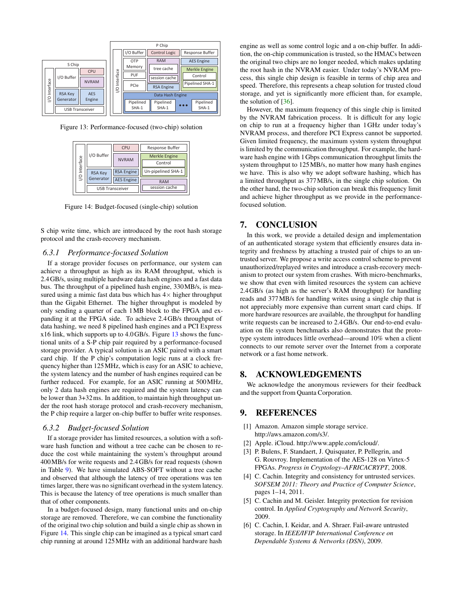<span id="page-10-8"></span>

<span id="page-10-9"></span>Figure 13: Performance-focused (two-chip) solution

|              |                        | <b>CPU</b>        | Response Buffer      |
|--------------|------------------------|-------------------|----------------------|
|              | I/O Buffer             |                   | <b>Merkle Engine</b> |
|              |                        | <b>NVRAM</b>      | Control              |
| /O Interface | <b>RSA Key</b>         | <b>RSA Engine</b> | Un-pipelined SHA-1   |
|              | Generator              | <b>AES Engine</b> | <b>RAM</b>           |
|              | <b>USB Transceiver</b> |                   | session cache        |

Figure 14: Budget-focused (single-chip) solution

S chip write time, which are introduced by the root hash storage protocol and the crash-recovery mechanism.

#### *6.3.1 Performance-focused Solution*

If a storage provider focuses on performance, our system can achieve a throughput as high as its RAM throughput, which is 2.4GB/s, using multiple hardware data hash engines and a fast data bus. The throughput of a pipelined hash engine, 330MB/s, is measured using a mimic fast data bus which has  $4\times$  higher throughput than the Gigabit Ethernet. The higher throughput is modeled by only sending a quarter of each 1MB block to the FPGA and expanding it at the FPGA side. To achieve 2.4GB/s throughput of data hashing, we need 8 pipelined hash engines and a PCI Express x16 link, which supports up to 4.0GB/s. Figure [13](#page-10-8) shows the functional units of a S-P chip pair required by a performance-focused storage provider. A typical solution is an ASIC paired with a smart card chip. If the P chip's computation logic runs at a clock frequency higher than 125MHz, which is easy for an ASIC to achieve, the system latency and the number of hash engines required can be further reduced. For example, for an ASIC running at 500MHz, only 2 data hash engines are required and the system latency can be lower than 3+32ms. In addition, to maintain high throughput under the root hash storage protocol and crash-recovery mechanism, the P chip require a larger on-chip buffer to buffer write responses.

#### <span id="page-10-6"></span>*6.3.2 Budget-focused Solution*

If a storage provider has limited resources, a solution with a software hash function and without a tree cache can be chosen to reduce the cost while maintaining the system's throughput around 400MB/s for write requests and 2.4GB/s for read requests (shown in Table [9\)](#page-9-4). We have simulated ABS-SOFT without a tree cache and observed that although the latency of tree operations was ten times larger, there was no significant overhead in the system latency. This is because the latency of tree operations is much smaller than that of other components.

In a budget-focused design, many functional units and on-chip storage are removed. Therefore, we can combine the functionality of the original two chip solution and build a single chip as shown in Figure [14.](#page-10-9) This single chip can be imagined as a typical smart card chip running at around 125MHz with an additional hardware hash

engine as well as some control logic and a on-chip buffer. In addition, the on-chip communication is trusted, so the HMACs between the original two chips are no longer needed, which makes updating the root hash in the NVRAM easier. Under today's NVRAM process, this single chip design is feasible in terms of chip area and speed. Therefore, this represents a cheap solution for trusted cloud storage, and yet is significantly more efficient than, for example, the solution of [\[36\]](#page-11-9).

However, the maximum frequency of this single chip is limited by the NVRAM fabrication process. It is difficult for any logic on chip to run at a frequency higher than 1GHz under today's NVRAM process, and therefore PCI Express cannot be supported. Given limited frequency, the maximum system system throughput is limited by the communication throughput. For example, the hardware hash engine with 1Gbps communication throughput limits the system throughput to 125MB/s, no matter how many hash engines we have. This is also why we adopt software hashing, which has a limited throughput as 377MB/s, in the single chip solution. On the other hand, the two-chip solution can break this frequency limit and achieve higher throughput as we provide in the performancefocused solution.

# <span id="page-10-3"></span>7. CONCLUSION

In this work, we provide a detailed design and implementation of an authenticated storage system that efficiently ensures data integrity and freshness by attaching a trusted pair of chips to an untrusted server. We propose a write access control scheme to prevent unauthorized/replayed writes and introduce a crash-recovery mechanism to protect our system from crashes. With micro-benchmarks, we show that even with limited resources the system can achieve 2.4GB/s (as high as the server's RAM throughput) for handling reads and 377MB/s for handling writes using a single chip that is not appreciably more expensive than current smart card chips. If more hardware resources are available, the throughput for handling write requests can be increased to 2.4GB/s. Our end-to-end evaluation on file system benchmarks also demonstrates that the prototype system introduces little overhead—around 10% when a client connects to our remote server over the Internet from a corporate network or a fast home network.

# 8. ACKNOWLEDGEMENTS

We acknowledge the anonymous reviewers for their feedback and the support from Quanta Corporation.

# <span id="page-10-0"></span>9. REFERENCES

- [1] Amazon. Amazon simple storage service. http://aws.amazon.com/s3/.
- <span id="page-10-7"></span><span id="page-10-1"></span>[2] Apple. iCloud. http://www.apple.com/icloud/.
- [3] P. Bulens, F. Standaert, J. Quisquater, P. Pellegrin, and G. Rouvroy. Implementation of the AES-128 on Virtex-5 FPGAs. *Progress in Cryptology–AFRICACRYPT*, 2008.
- <span id="page-10-5"></span>[4] C. Cachin. Integrity and consistency for untrusted services. *SOFSEM 2011: Theory and Practice of Computer Science*, pages 1–14, 2011.
- <span id="page-10-4"></span>[5] C. Cachin and M. Geisler. Integrity protection for revision control. In *Applied Cryptography and Network Security*, 2009.
- <span id="page-10-2"></span>[6] C. Cachin, I. Keidar, and A. Shraer. Fail-aware untrusted storage. In *IEEE/IFIP International Conference on Dependable Systems & Networks (DSN)*, 2009.